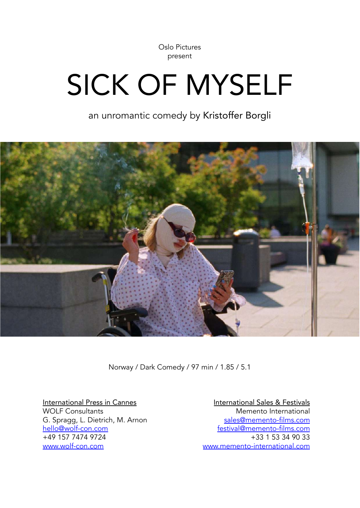Oslo Pictures present

# SICK OF MYSELF

an unromantic comedy by Kristoffer Borgli



Norway / Dark Comedy / 97 min / 1.85 / 5.1

International Press in Cannes WOLF Consultants G. Spragg, L. Dietrich, M. Arnon [hello@wolf-con.com](mailto:hello@wolf-con.com) +49 157 7474 9724 [www.wolf-con.com](http://www.wolf-con.com)

International Sales & Festivals Memento International [sales@memento-films.com](mailto:sales@memento-films.com) [festival@memento-films.com](mailto:festival@memento-films.com) +33 1 53 34 90 33 [www.memento-international.com](http://www.memento-international.com)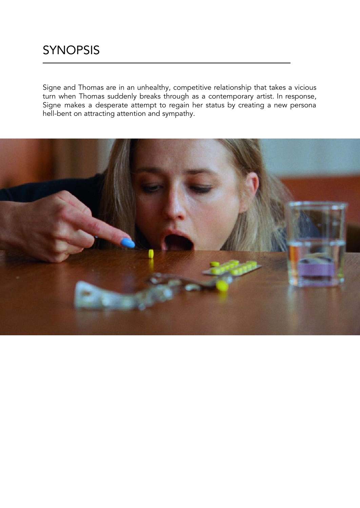Signe and Thomas are in an unhealthy, competitive relationship that takes a vicious turn when Thomas suddenly breaks through as a contemporary artist. In response, Signe makes a desperate attempt to regain her status by creating a new persona hell-bent on attracting attention and sympathy.

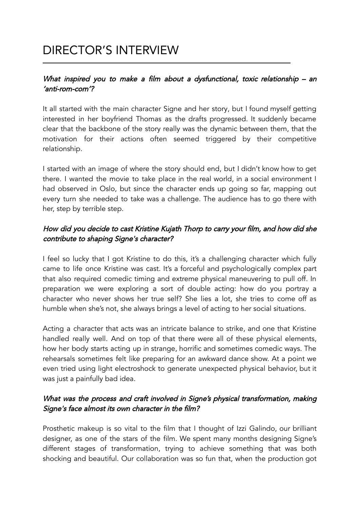## DIRECTOR'S INTERVIEW

#### What inspired you to make a film about a dysfunctional, toxic relationship – an 'anti-rom-com'?

It all started with the main character Signe and her story, but I found myself getting interested in her boyfriend Thomas as the drafts progressed. It suddenly became clear that the backbone of the story really was the dynamic between them, that the motivation for their actions often seemed triggered by their competitive relationship.

I started with an image of where the story should end, but I didn't know how to get there. I wanted the movie to take place in the real world, in a social environment I had observed in Oslo, but since the character ends up going so far, mapping out every turn she needed to take was a challenge. The audience has to go there with her, step by terrible step.

#### How did you decide to cast Kristine Kujath Thorp to carry your film, and how did she contribute to shaping Signe's character?

I feel so lucky that I got Kristine to do this, it's a challenging character which fully came to life once Kristine was cast. It's a forceful and psychologically complex part that also required comedic timing and extreme physical maneuvering to pull off. In preparation we were exploring a sort of double acting: how do you portray a character who never shows her true self? She lies a lot, she tries to come off as humble when she's not, she always brings a level of acting to her social situations.

Acting a character that acts was an intricate balance to strike, and one that Kristine handled really well. And on top of that there were all of these physical elements, how her body starts acting up in strange, horrific and sometimes comedic ways. The rehearsals sometimes felt like preparing for an awkward dance show. At a point we even tried using light electroshock to generate unexpected physical behavior, but it was just a painfully bad idea.

#### What was the process and craft involved in Signe's physical transformation, making Signe's face almost its own character in the film?

Prosthetic makeup is so vital to the film that I thought of Izzi Galindo, our brilliant designer, as one of the stars of the film. We spent many months designing Signe's different stages of transformation, trying to achieve something that was both shocking and beautiful. Our collaboration was so fun that, when the production got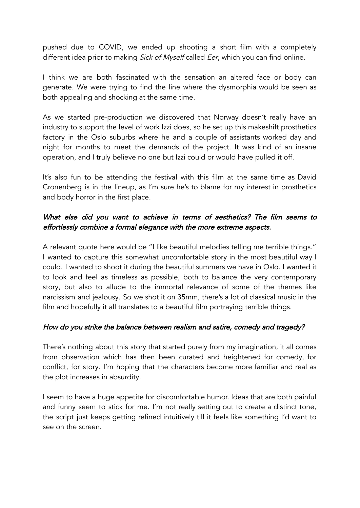pushed due to COVID, we ended up shooting a short film with a completely different idea prior to making Sick of Myself called Eer, which you can find online.

I think we are both fascinated with the sensation an altered face or body can generate. We were trying to find the line where the dysmorphia would be seen as both appealing and shocking at the same time.

As we started pre-production we discovered that Norway doesn't really have an industry to support the level of work Izzi does, so he set up this makeshift prosthetics factory in the Oslo suburbs where he and a couple of assistants worked day and night for months to meet the demands of the project. It was kind of an insane operation, and I truly believe no one but Izzi could or would have pulled it off.

It's also fun to be attending the festival with this film at the same time as David Cronenberg is in the lineup, as I'm sure he's to blame for my interest in prosthetics and body horror in the first place.

#### What else did you want to achieve in terms of aesthetics? The film seems to effortlessly combine <sup>a</sup> formal elegance with the more extreme aspects.

A relevant quote here would be "I like beautiful melodies telling me terrible things." I wanted to capture this somewhat uncomfortable story in the most beautiful way I could. I wanted to shoot it during the beautiful summers we have in Oslo. I wanted it to look and feel as timeless as possible, both to balance the very contemporary story, but also to allude to the immortal relevance of some of the themes like narcissism and jealousy. So we shot it on 35mm, there's a lot of classical music in the film and hopefully it all translates to a beautiful film portraying terrible things.

#### How do you strike the balance between realism and satire, comedy and tragedy?

There's nothing about this story that started purely from my imagination, it all comes from observation which has then been curated and heightened for comedy, for conflict, for story. I'm hoping that the characters become more familiar and real as the plot increases in absurdity.

I seem to have a huge appetite for discomfortable humor. Ideas that are both painful and funny seem to stick for me. I'm not really setting out to create a distinct tone, the script just keeps getting refined intuitively till it feels like something I'd want to see on the screen.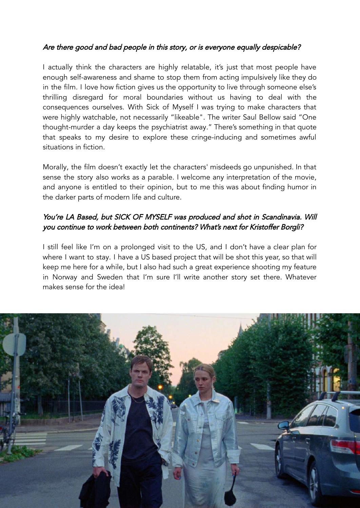#### Are there good and bad people in this story, or is everyone equally despicable?

I actually think the characters are highly relatable, it's just that most people have enough self-awareness and shame to stop them from acting impulsively like they do in the film. I love how fiction gives us the opportunity to live through someone else's thrilling disregard for moral boundaries without us having to deal with the consequences ourselves. With Sick of Myself I was trying to make characters that were highly watchable, not necessarily "likeable". The writer Saul Bellow said "One thought-murder a day keeps the psychiatrist away." There's something in that quote that speaks to my desire to explore these cringe-inducing and sometimes awful situations in fiction.

Morally, the film doesn't exactly let the characters' misdeeds go unpunished. In that sense the story also works as a parable. I welcome any interpretation of the movie, and anyone is entitled to their opinion, but to me this was about finding humor in the darker parts of modern life and culture.

#### You're LA Based, but SICK OF MYSELF was produced and shot in Scandinavia. Will you continue to work between both continents? What's next for Kristoffer Borgli?

I still feel like I'm on a prolonged visit to the US, and I don't have a clear plan for where I want to stay. I have a US based project that will be shot this year, so that will keep me here for a while, but I also had such a great experience shooting my feature in Norway and Sweden that I'm sure I'll write another story set there. Whatever makes sense for the idea!

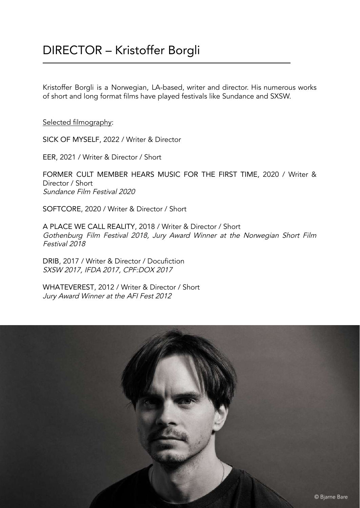Kristoffer Borgli is a Norwegian, LA-based, writer and director. His numerous works of short and long format films have played festivals like Sundance and SXSW.

Selected filmography:

SICK OF MYSELF, 2022 / Writer & Director

EER, 2021 / Writer & Director / Short

FORMER CULT MEMBER HEARS MUSIC FOR THE FIRST TIME, 2020 / Writer & Director / Short Sundance Film Festival 2020

SOFTCORE, 2020 / Writer & Director / Short

A PLACE WE CALL REALITY, 2018 / Writer & Director / Short Gothenburg Film Festival 2018, Jury Award Winner at the Norwegian Short Film Festival 2018

DRIB, 2017 / Writer & Director / Docufiction SXSW 2017, IFDA 2017, CPF:DOX 2017

WHATEVEREST, 2012 / Writer & Director / Short Jury Award Winner at the AFI Fest 2012

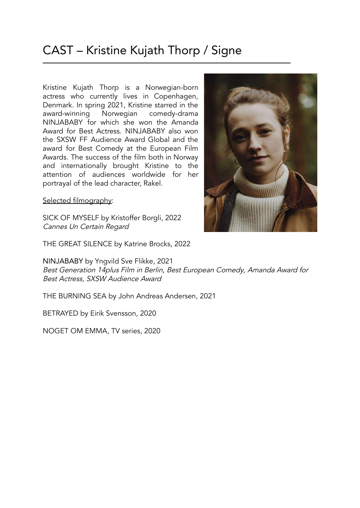## CAST – Kristine Kujath Thorp / Signe

Kristine Kujath Thorp is a Norwegian-born actress who currently lives in Copenhagen, Denmark. In spring 2021, Kristine starred in the award-winning Norwegian comedy-drama NINJABABY for which she won the Amanda Award for Best Actress. NINJABABY also won the SXSW FF Audience Award Global and the award for Best Comedy at the European Film Awards. The success of the film both in Norway and internationally brought Kristine to the attention of audiences worldwide for her portrayal of the lead character, Rakel.

Selected filmography:

SICK OF MYSELF by Kristoffer Borgli, 2022 Cannes Un Certain Regard

THE GREAT SILENCE by Katrine Brocks, 2022

NINJABABY by Yngvild Sve Flikke, 2021 Best Generation 14plus Film in Berlin, Best European Comedy, Amanda Award for Best Actress, SXSW Audience Award

THE BURNING SEA by John Andreas Andersen, 2021

BETRAYED by Eirik Svensson, 2020

NOGET OM EMMA, TV series, 2020

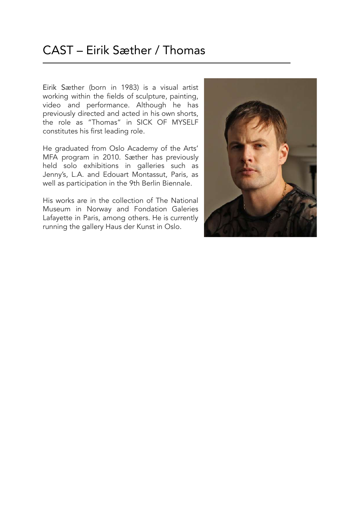Eirik Sæther (born in 1983) is a visual artist working within the fields of sculpture, painting, video and performance. Although he has previously directed and acted in his own shorts, the role as "Thomas" in SICK OF MYSELF constitutes his first leading role.

He graduated from Oslo Academy of the Arts' MFA program in 2010. Sæther has previously held solo exhibitions in galleries such as Jenny's, L.A. and Edouart Montassut, Paris, as well as participation in the 9th Berlin Biennale.

His works are in the collection of The National Museum in Norway and Fondation Galeries Lafayette in Paris, among others. He is currently running the gallery Haus der Kunst in Oslo.

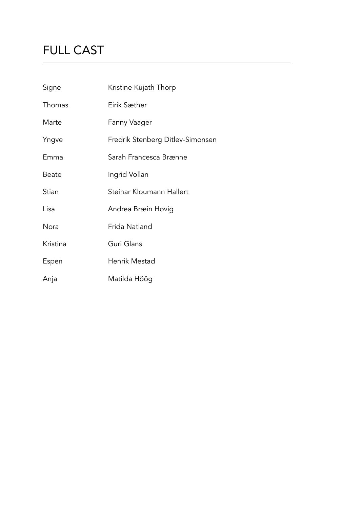# FULL CAST

| Signe    | Kristine Kujath Thorp            |
|----------|----------------------------------|
| Thomas   | Eirik Sæther                     |
| Marte    | Fanny Vaager                     |
| Yngve    | Fredrik Stenberg Ditlev-Simonsen |
| Emma     | Sarah Francesca Brænne           |
| Beate    | Ingrid Vollan                    |
| Stian    | Steinar Kloumann Hallert         |
| Lisa     | Andrea Bræin Hovig               |
| Nora     | Frida Natland                    |
| Kristina | Guri Glans                       |
| Espen    | Henrik Mestad                    |
| Anja     | Matilda Höög                     |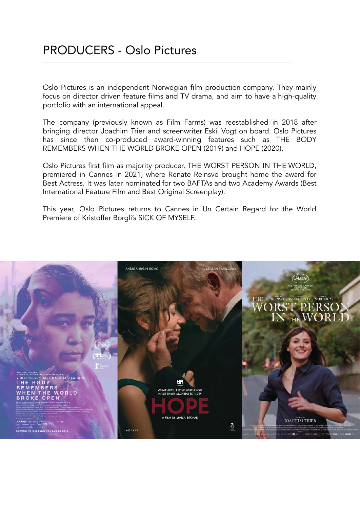Oslo Pictures is an independent Norwegian film production company. They mainly focus on director driven feature films and TV drama, and aim to have a high-quality portfolio with an international appeal.

The company (previously known as Film Farms) was reestablished in 2018 after bringing director Joachim Trier and screenwriter Eskil Vogt on board. Oslo Pictures has since then co-produced award-winning features such as THE BODY REMEMBERS WHEN THE WORLD BROKE OPEN (2019) and HOPE (2020).

Oslo Pictures first film as majority producer, THE WORST PERSON IN THE WORLD, premiered in Cannes in 2021, where Renate Reinsve brought home the award for Best Actress. It was later nominated for two BAFTAs and two Academy Awards (Best International Feature Film and Best Original Screenplay).

This year, Oslo Pictures returns to Cannes in Un Certain Regard for the World Premiere of Kristoffer Borgli's SICK OF MYSELF.